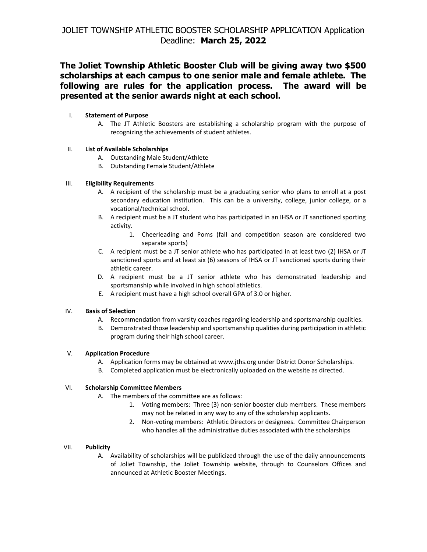# **The Joliet Township Athletic Booster Club will be giving away two \$500 scholarships at each campus to one senior male and female athlete. The following are rules for the application process. The award will be presented at the senior awards night at each school.**

## I. **Statement of Purpose**

A. The JT Athletic Boosters are establishing a scholarship program with the purpose of recognizing the achievements of student athletes.

## II. **List of Available Scholarships**

- A. Outstanding Male Student/Athlete
- B. Outstanding Female Student/Athlete

## III. **Eligibility Requirements**

- A. A recipient of the scholarship must be a graduating senior who plans to enroll at a post secondary education institution. This can be a university, college, junior college, or a vocational/technical school.
- B. A recipient must be a JT student who has participated in an IHSA or JT sanctioned sporting activity.
	- 1. Cheerleading and Poms (fall and competition season are considered two separate sports)
- C. A recipient must be a JT senior athlete who has participated in at least two (2) IHSA or JT sanctioned sports and at least six (6) seasons of IHSA or JT sanctioned sports during their athletic career.
- D. A recipient must be a JT senior athlete who has demonstrated leadership and sportsmanship while involved in high school athletics.
- E. A recipient must have a high school overall GPA of 3.0 or higher.

#### IV. **Basis of Selection**

- A. Recommendation from varsity coaches regarding leadership and sportsmanship qualities.
- B. Demonstrated those leadership and sportsmanship qualities during participation in athletic program during their high school career.

#### V. **Application Procedure**

- A. Application forms may be obtained at www.jths.org under District Donor Scholarships.
- B. Completed application must be electronically uploaded on the website as directed.

#### VI. **Scholarship Committee Members**

- A. The members of the committee are as follows:
	- 1. Voting members: Three (3) non-senior booster club members. These members may not be related in any way to any of the scholarship applicants.
	- 2. Non-voting members: Athletic Directors or designees. Committee Chairperson who handles all the administrative duties associated with the scholarships

## VII. **Publicity**

A. Availability of scholarships will be publicized through the use of the daily announcements of Joliet Township, the Joliet Township website, through to Counselors Offices and announced at Athletic Booster Meetings.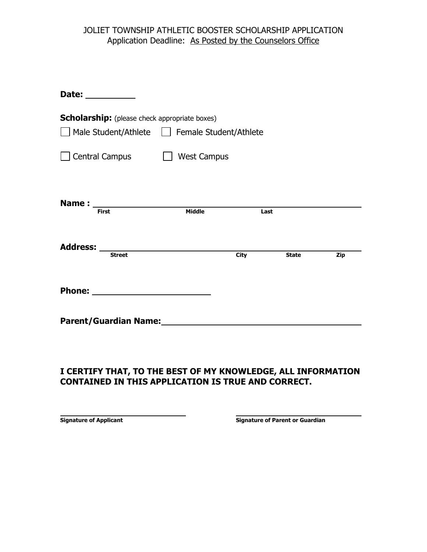# JOLIET TOWNSHIP ATHLETIC BOOSTER SCHOLARSHIP APPLICATION Application Deadline: As Posted by the Counselors Office

| Date: ___________                                     |                    |             |              |     |  |  |  |
|-------------------------------------------------------|--------------------|-------------|--------------|-----|--|--|--|
| <b>Scholarship:</b> (please check appropriate boxes)  |                    |             |              |     |  |  |  |
| Male Student/Athlete   Female Student/Athlete         |                    |             |              |     |  |  |  |
| <b>Central Campus</b>                                 | <b>West Campus</b> |             |              |     |  |  |  |
| <b>First</b>                                          | <b>Middle</b>      |             | Last         |     |  |  |  |
| <b>Street</b>                                         |                    | <b>City</b> | <b>State</b> | Zip |  |  |  |
|                                                       |                    |             |              |     |  |  |  |
| Parent/Guardian Name:<br><u>Parent/Guardian Name:</u> |                    |             |              |     |  |  |  |

# **I CERTIFY THAT, TO THE BEST OF MY KNOWLEDGE, ALL INFORMATION CONTAINED IN THIS APPLICATION IS TRUE AND CORRECT.**

**Signature of Applicant Signature of Parent or Guardian**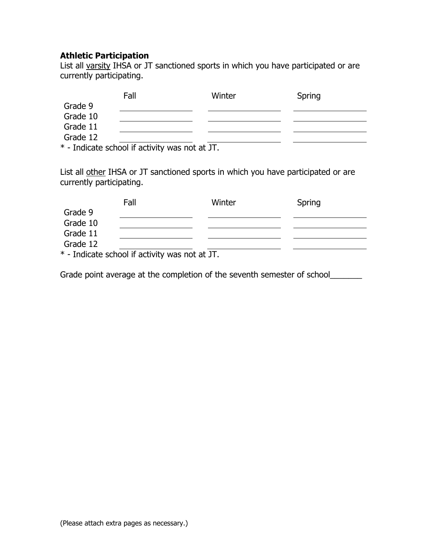# **Athletic Participation**

List all varsity IHSA or JT sanctioned sports in which you have participated or are currently participating.

|          | Fall                                                                                                                  | Winter               | Spring |
|----------|-----------------------------------------------------------------------------------------------------------------------|----------------------|--------|
| Grade 9  |                                                                                                                       |                      |        |
| Grade 10 |                                                                                                                       |                      |        |
| Grade 11 |                                                                                                                       |                      |        |
| Grade 12 |                                                                                                                       |                      |        |
| .        | $\mathbf{r}$ , $\mathbf{r}$ , $\mathbf{r}$ , $\mathbf{r}$ , $\mathbf{r}$ , $\mathbf{r}$ , $\mathbf{r}$ , $\mathbf{r}$ | $\sim$ $\sim$ $\sim$ |        |

\* - Indicate school if activity was not at JT.

List all other IHSA or JT sanctioned sports in which you have participated or are currently participating.

|          | Fall                                            | Winter | Spring |
|----------|-------------------------------------------------|--------|--------|
| Grade 9  |                                                 |        |        |
| Grade 10 |                                                 |        |        |
| Grade 11 |                                                 |        |        |
| Grade 12 |                                                 |        |        |
|          | $*$ - Indicate school if activity was not at IT |        |        |

Indicate school if activity was not at JT.

Grade point average at the completion of the seventh semester of school\_\_\_\_\_\_\_\_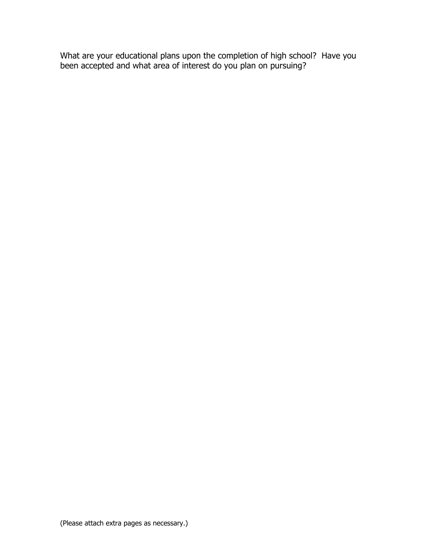What are your educational plans upon the completion of high school? Have you been accepted and what area of interest do you plan on pursuing?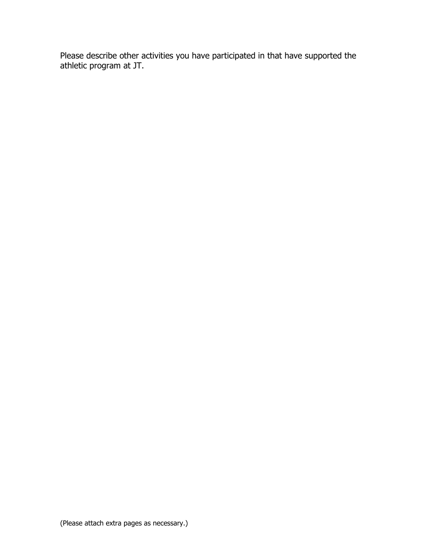Please describe other activities you have participated in that have supported the athletic program at JT.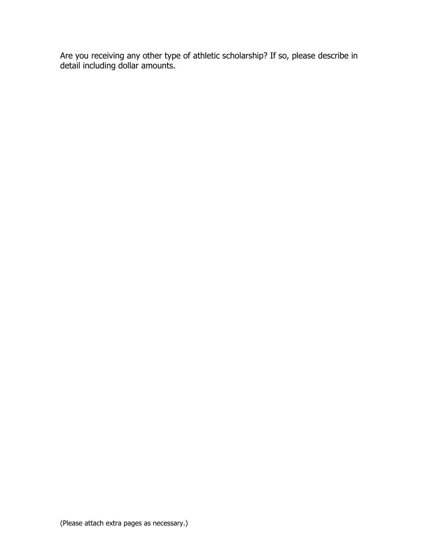Are you receiving any other type of athletic scholarship? If so, please describe in detail including dollar amounts.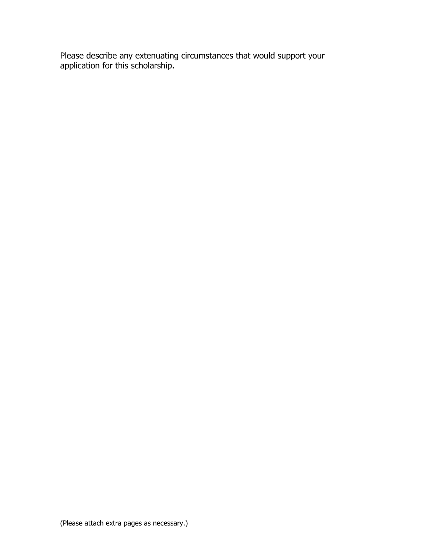Please describe any extenuating circumstances that would support your application for this scholarship.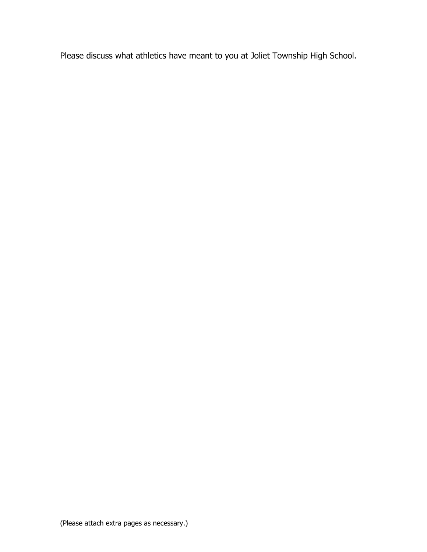Please discuss what athletics have meant to you at Joliet Township High School.